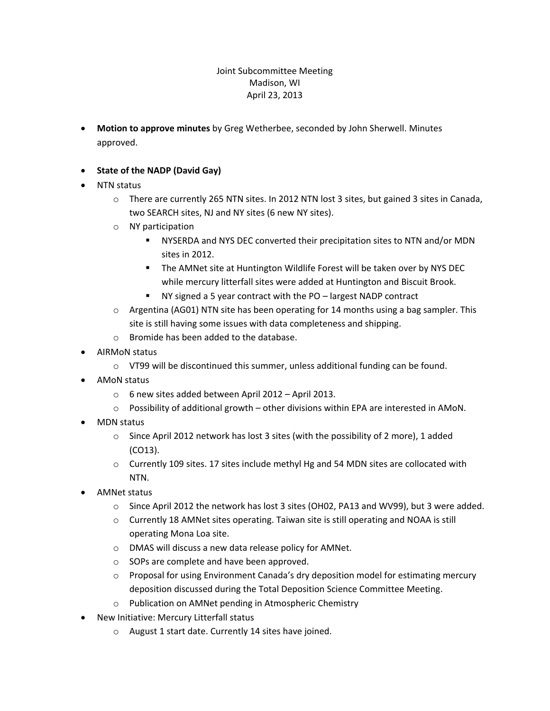## Joint Subcommittee Meeting Madison, WI April 23, 2013

- **Motion to approve minutes** by Greg Wetherbee, seconded by John Sherwell. Minutes approved.
- **State of the NADP (David Gay)**
- NTN status
	- $\circ$  There are currently 265 NTN sites. In 2012 NTN lost 3 sites, but gained 3 sites in Canada, two SEARCH sites, NJ and NY sites (6 new NY sites).
	- o NY participation
		- NYSERDA and NYS DEC converted their precipitation sites to NTN and/or MDN sites in 2012.
		- The AMNet site at Huntington Wildlife Forest will be taken over by NYS DEC while mercury litterfall sites were added at Huntington and Biscuit Brook.
		- NY signed a 5 year contract with the PO largest NADP contract
	- $\circ$  Argentina (AG01) NTN site has been operating for 14 months using a bag sampler. This site is still having some issues with data completeness and shipping.
	- o Bromide has been added to the database.
- AIRMoN status
	- o VT99 will be discontinued this summer, unless additional funding can be found.
- **AMON** status
	- o 6 new sites added between April 2012 April 2013.
	- $\circ$  Possibility of additional growth other divisions within EPA are interested in AMoN.
- MDN status
	- $\circ$  Since April 2012 network has lost 3 sites (with the possibility of 2 more), 1 added (CO13).
	- o Currently 109 sites. 17 sites include methyl Hg and 54 MDN sites are collocated with NTN.
- AMNet status
	- o Since April 2012 the network has lost 3 sites (OH02, PA13 and WV99), but 3 were added.
	- o Currently 18 AMNet sites operating. Taiwan site is still operating and NOAA is still operating Mona Loa site.
	- o DMAS will discuss a new data release policy for AMNet.
	- o SOPs are complete and have been approved.
	- o Proposal for using Environment Canada's dry deposition model for estimating mercury deposition discussed during the Total Deposition Science Committee Meeting.
	- o Publication on AMNet pending in Atmospheric Chemistry
- New Initiative: Mercury Litterfall status
	- o August 1 start date. Currently 14 sites have joined.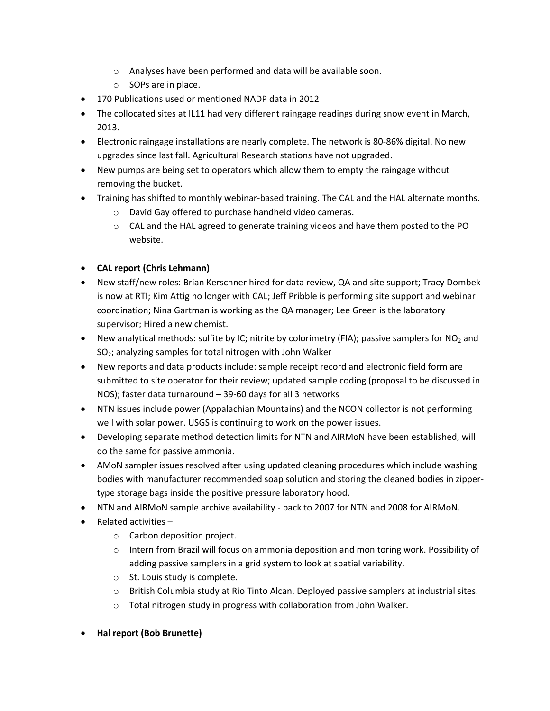- o Analyses have been performed and data will be available soon.
- o SOPs are in place.
- 170 Publications used or mentioned NADP data in 2012
- The collocated sites at IL11 had very different raingage readings during snow event in March, 2013.
- Electronic raingage installations are nearly complete. The network is 80-86% digital. No new upgrades since last fall. Agricultural Research stations have not upgraded.
- New pumps are being set to operators which allow them to empty the raingage without removing the bucket.
- Training has shifted to monthly webinar-based training. The CAL and the HAL alternate months.
	- o David Gay offered to purchase handheld video cameras.
	- $\circ$  CAL and the HAL agreed to generate training videos and have them posted to the PO website.

## **CAL report (Chris Lehmann)**

- New staff/new roles: Brian Kerschner hired for data review, QA and site support; Tracy Dombek is now at RTI; Kim Attig no longer with CAL; Jeff Pribble is performing site support and webinar coordination; Nina Gartman is working as the QA manager; Lee Green is the laboratory supervisor; Hired a new chemist.
- New analytical methods: sulfite by IC; nitrite by colorimetry (FIA); passive samplers for  $NO<sub>2</sub>$  and  $SO<sub>2</sub>$ ; analyzing samples for total nitrogen with John Walker
- New reports and data products include: sample receipt record and electronic field form are submitted to site operator for their review; updated sample coding (proposal to be discussed in NOS); faster data turnaround – 39-60 days for all 3 networks
- NTN issues include power (Appalachian Mountains) and the NCON collector is not performing well with solar power. USGS is continuing to work on the power issues.
- Developing separate method detection limits for NTN and AIRMoN have been established, will do the same for passive ammonia.
- AMoN sampler issues resolved after using updated cleaning procedures which include washing bodies with manufacturer recommended soap solution and storing the cleaned bodies in zippertype storage bags inside the positive pressure laboratory hood.
- NTN and AIRMoN sample archive availability back to 2007 for NTN and 2008 for AIRMoN.
- $\bullet$  Related activities
	- o Carbon deposition project.
	- $\circ$  Intern from Brazil will focus on ammonia deposition and monitoring work. Possibility of adding passive samplers in a grid system to look at spatial variability.
	- o St. Louis study is complete.
	- o British Columbia study at Rio Tinto Alcan. Deployed passive samplers at industrial sites.
	- o Total nitrogen study in progress with collaboration from John Walker.
- **Hal report (Bob Brunette)**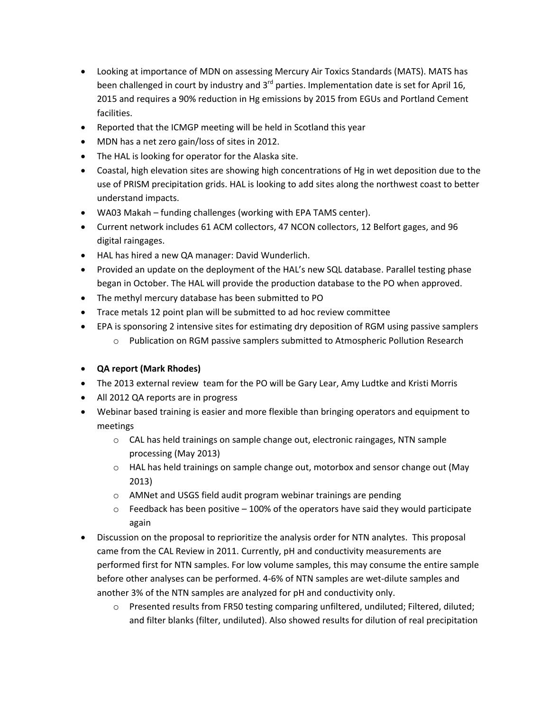- Looking at importance of MDN on assessing Mercury Air Toxics Standards (MATS). MATS has been challenged in court by industry and  $3^{rd}$  parties. Implementation date is set for April 16, 2015 and requires a 90% reduction in Hg emissions by 2015 from EGUs and Portland Cement facilities.
- Reported that the ICMGP meeting will be held in Scotland this year
- MDN has a net zero gain/loss of sites in 2012.
- The HAL is looking for operator for the Alaska site.
- Coastal, high elevation sites are showing high concentrations of Hg in wet deposition due to the use of PRISM precipitation grids. HAL is looking to add sites along the northwest coast to better understand impacts.
- WA03 Makah funding challenges (working with EPA TAMS center).
- Current network includes 61 ACM collectors, 47 NCON collectors, 12 Belfort gages, and 96 digital raingages.
- HAL has hired a new QA manager: David Wunderlich.
- Provided an update on the deployment of the HAL's new SQL database. Parallel testing phase began in October. The HAL will provide the production database to the PO when approved.
- The methyl mercury database has been submitted to PO
- Trace metals 12 point plan will be submitted to ad hoc review committee
- EPA is sponsoring 2 intensive sites for estimating dry deposition of RGM using passive samplers
	- o Publication on RGM passive samplers submitted to Atmospheric Pollution Research
- **QA report (Mark Rhodes)**
- The 2013 external review team for the PO will be Gary Lear, Amy Ludtke and Kristi Morris
- All 2012 QA reports are in progress
- Webinar based training is easier and more flexible than bringing operators and equipment to meetings
	- o CAL has held trainings on sample change out, electronic raingages, NTN sample processing (May 2013)
	- $\circ$  HAL has held trainings on sample change out, motorbox and sensor change out (May 2013)
	- o AMNet and USGS field audit program webinar trainings are pending
	- $\circ$  Feedback has been positive  $-100\%$  of the operators have said they would participate again
- Discussion on the proposal to reprioritize the analysis order for NTN analytes. This proposal came from the CAL Review in 2011. Currently, pH and conductivity measurements are performed first for NTN samples. For low volume samples, this may consume the entire sample before other analyses can be performed. 4-6% of NTN samples are wet-dilute samples and another 3% of the NTN samples are analyzed for pH and conductivity only.
	- o Presented results from FR50 testing comparing unfiltered, undiluted; Filtered, diluted; and filter blanks (filter, undiluted). Also showed results for dilution of real precipitation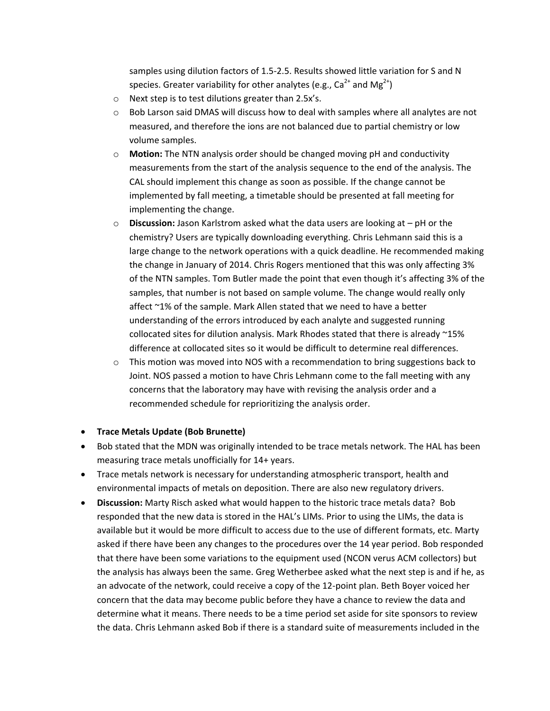samples using dilution factors of 1.5-2.5. Results showed little variation for S and N species. Greater variability for other analytes (e.g.,  $Ca^{2+}$  and  $Mg^{2+}$ )

- o Next step is to test dilutions greater than 2.5x's.
- $\circ$  Bob Larson said DMAS will discuss how to deal with samples where all analytes are not measured, and therefore the ions are not balanced due to partial chemistry or low volume samples.
- o **Motion:** The NTN analysis order should be changed moving pH and conductivity measurements from the start of the analysis sequence to the end of the analysis. The CAL should implement this change as soon as possible. If the change cannot be implemented by fall meeting, a timetable should be presented at fall meeting for implementing the change.
- o **Discussion:** Jason Karlstrom asked what the data users are looking at pH or the chemistry? Users are typically downloading everything. Chris Lehmann said this is a large change to the network operations with a quick deadline. He recommended making the change in January of 2014. Chris Rogers mentioned that this was only affecting 3% of the NTN samples. Tom Butler made the point that even though it's affecting 3% of the samples, that number is not based on sample volume. The change would really only affect ~1% of the sample. Mark Allen stated that we need to have a better understanding of the errors introduced by each analyte and suggested running collocated sites for dilution analysis. Mark Rhodes stated that there is already ~15% difference at collocated sites so it would be difficult to determine real differences.
- $\circ$  This motion was moved into NOS with a recommendation to bring suggestions back to Joint. NOS passed a motion to have Chris Lehmann come to the fall meeting with any concerns that the laboratory may have with revising the analysis order and a recommended schedule for reprioritizing the analysis order.

## **Trace Metals Update (Bob Brunette)**

- Bob stated that the MDN was originally intended to be trace metals network. The HAL has been measuring trace metals unofficially for 14+ years.
- Trace metals network is necessary for understanding atmospheric transport, health and environmental impacts of metals on deposition. There are also new regulatory drivers.
- **Discussion:** Marty Risch asked what would happen to the historic trace metals data? Bob responded that the new data is stored in the HAL's LIMs. Prior to using the LIMs, the data is available but it would be more difficult to access due to the use of different formats, etc. Marty asked if there have been any changes to the procedures over the 14 year period. Bob responded that there have been some variations to the equipment used (NCON verus ACM collectors) but the analysis has always been the same. Greg Wetherbee asked what the next step is and if he, as an advocate of the network, could receive a copy of the 12-point plan. Beth Boyer voiced her concern that the data may become public before they have a chance to review the data and determine what it means. There needs to be a time period set aside for site sponsors to review the data. Chris Lehmann asked Bob if there is a standard suite of measurements included in the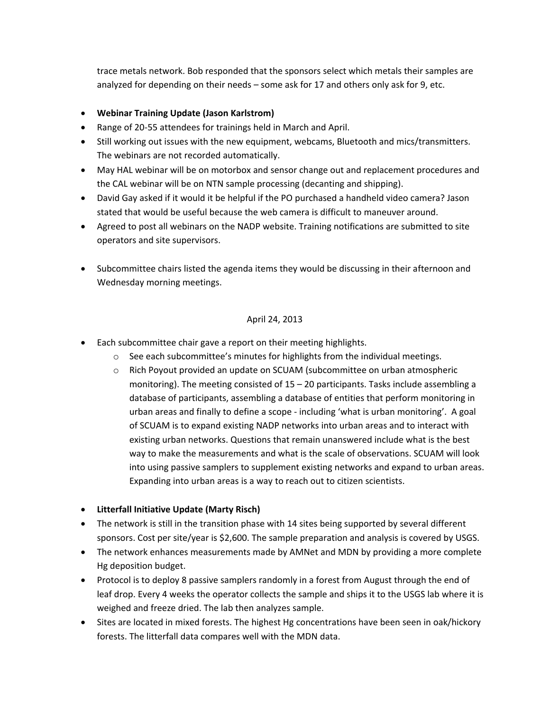trace metals network. Bob responded that the sponsors select which metals their samples are analyzed for depending on their needs – some ask for 17 and others only ask for 9, etc.

- **Webinar Training Update (Jason Karlstrom)**
- Range of 20-55 attendees for trainings held in March and April.
- Still working out issues with the new equipment, webcams, Bluetooth and mics/transmitters. The webinars are not recorded automatically.
- May HAL webinar will be on motorbox and sensor change out and replacement procedures and the CAL webinar will be on NTN sample processing (decanting and shipping).
- David Gay asked if it would it be helpful if the PO purchased a handheld video camera? Jason stated that would be useful because the web camera is difficult to maneuver around.
- Agreed to post all webinars on the NADP website. Training notifications are submitted to site operators and site supervisors.
- Subcommittee chairs listed the agenda items they would be discussing in their afternoon and Wednesday morning meetings.

## April 24, 2013

- Each subcommittee chair gave a report on their meeting highlights.
	- $\circ$  See each subcommittee's minutes for highlights from the individual meetings.
	- o Rich Poyout provided an update on SCUAM (subcommittee on urban atmospheric monitoring). The meeting consisted of  $15 - 20$  participants. Tasks include assembling a database of participants, assembling a database of entities that perform monitoring in urban areas and finally to define a scope - including 'what is urban monitoring'. A goal of SCUAM is to expand existing NADP networks into urban areas and to interact with existing urban networks. Questions that remain unanswered include what is the best way to make the measurements and what is the scale of observations. SCUAM will look into using passive samplers to supplement existing networks and expand to urban areas. Expanding into urban areas is a way to reach out to citizen scientists.
- **Litterfall Initiative Update (Marty Risch)**
- The network is still in the transition phase with 14 sites being supported by several different sponsors. Cost per site/year is \$2,600. The sample preparation and analysis is covered by USGS.
- The network enhances measurements made by AMNet and MDN by providing a more complete Hg deposition budget.
- Protocol is to deploy 8 passive samplers randomly in a forest from August through the end of leaf drop. Every 4 weeks the operator collects the sample and ships it to the USGS lab where it is weighed and freeze dried. The lab then analyzes sample.
- Sites are located in mixed forests. The highest Hg concentrations have been seen in oak/hickory forests. The litterfall data compares well with the MDN data.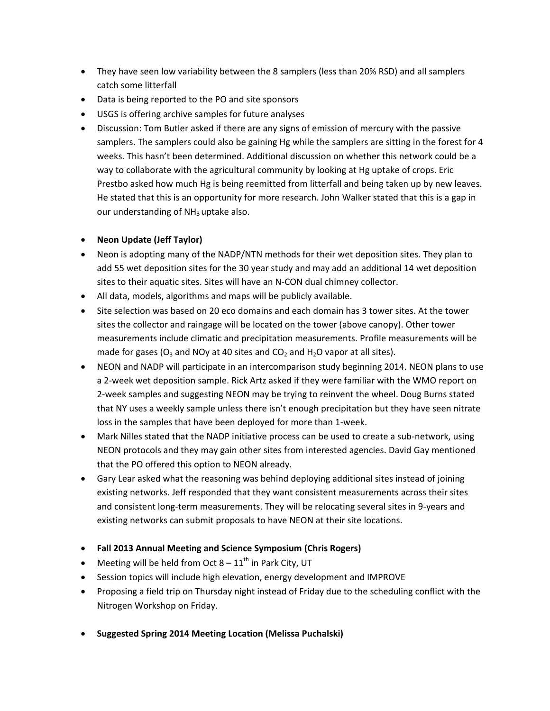- They have seen low variability between the 8 samplers (less than 20% RSD) and all samplers catch some litterfall
- Data is being reported to the PO and site sponsors
- USGS is offering archive samples for future analyses
- Discussion: Tom Butler asked if there are any signs of emission of mercury with the passive samplers. The samplers could also be gaining Hg while the samplers are sitting in the forest for 4 weeks. This hasn't been determined. Additional discussion on whether this network could be a way to collaborate with the agricultural community by looking at Hg uptake of crops. Eric Prestbo asked how much Hg is being reemitted from litterfall and being taken up by new leaves. He stated that this is an opportunity for more research. John Walker stated that this is a gap in our understanding of  $NH<sub>3</sub>$  uptake also.
- **Neon Update (Jeff Taylor)**
- Neon is adopting many of the NADP/NTN methods for their wet deposition sites. They plan to add 55 wet deposition sites for the 30 year study and may add an additional 14 wet deposition sites to their aquatic sites. Sites will have an N-CON dual chimney collector.
- All data, models, algorithms and maps will be publicly available.
- Site selection was based on 20 eco domains and each domain has 3 tower sites. At the tower sites the collector and raingage will be located on the tower (above canopy). Other tower measurements include climatic and precipitation measurements. Profile measurements will be made for gases ( $O_3$  and NOy at 40 sites and  $CO_2$  and H<sub>2</sub>O vapor at all sites).
- NEON and NADP will participate in an intercomparison study beginning 2014. NEON plans to use a 2-week wet deposition sample. Rick Artz asked if they were familiar with the WMO report on 2-week samples and suggesting NEON may be trying to reinvent the wheel. Doug Burns stated that NY uses a weekly sample unless there isn't enough precipitation but they have seen nitrate loss in the samples that have been deployed for more than 1-week.
- Mark Nilles stated that the NADP initiative process can be used to create a sub-network, using NEON protocols and they may gain other sites from interested agencies. David Gay mentioned that the PO offered this option to NEON already.
- Gary Lear asked what the reasoning was behind deploying additional sites instead of joining existing networks. Jeff responded that they want consistent measurements across their sites and consistent long-term measurements. They will be relocating several sites in 9-years and existing networks can submit proposals to have NEON at their site locations.
- **Fall 2013 Annual Meeting and Science Symposium (Chris Rogers)**
- Meeting will be held from Oct  $8 11^{th}$  in Park City, UT
- Session topics will include high elevation, energy development and IMPROVE
- Proposing a field trip on Thursday night instead of Friday due to the scheduling conflict with the Nitrogen Workshop on Friday.
- **Suggested Spring 2014 Meeting Location (Melissa Puchalski)**